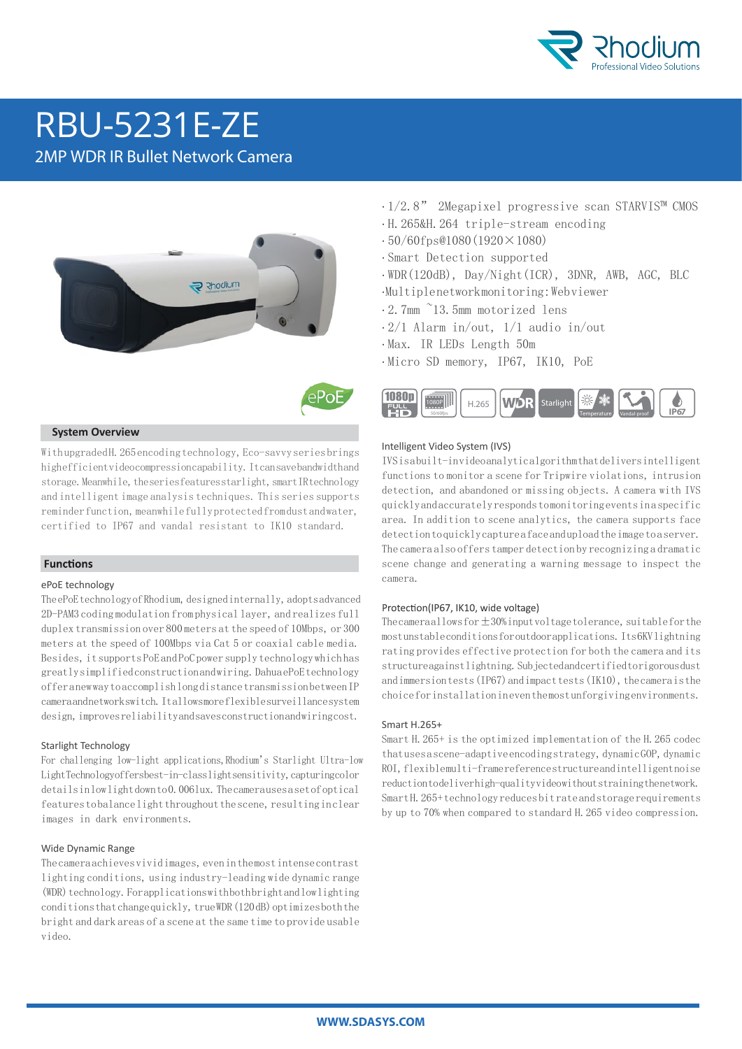

# RBU-5231E-ZE

2MP WDR IR Bullet Network Camera





#### **System Overview**

With upgraded H. 265 encoding technology, Eco-savvy series brings high efficient video compression capability. It can save bandwidth and storage. Meanwhile, the series features starlight, smart IR technology and intelligent image analysis techniques. This series supports reminder function, meanwhile fully protected from dust and water, certified to IP67 and vandal resistant to IK10 standard.

#### **Functions**

#### ePoE technology

The ePoE technology of Rhodium, designed internally, adopts advanced 2D-PAM3 coding modulation from physical layer, and realizes full duplex transmission over 800 meters at the speed of 10Mbps, or 300 meters at the speed of 100Mbps via Cat 5 or coaxial cable media. Besides, it supports PoE and PoC power supply technology which has greatly simplified construction and wiring. Dahua ePoE technology offer a new way to accomplish long distance transmission between IP camera and network switch. It allows more flexible surveillance system design, improves reliability and saves construction and wiring cost.

#### Starlight Technology

For challenging low-light applications,Rhodium's Starlight Ultra-low Light Technology of fersbest-in-class light sensitivity, capturing color details in low light down to 0.006lux. The camera uses a set of optical features to balance light throughout the scene, resulting in clear images in dark environments.

#### Wide Dynamic Range

The camera achieves vivid images, even in the most intense contrast lighting conditions, using industry-leading wide dynamic range (WDR) technology. For applications with both bright and low lighting conditions that change quickly, true WDR (120 dB) optimizes both the bright and dark areas of a scene at the same time to provide usable video.

- · 1/2.8" 2Megapixel progressive scan STARVIS™ CMOS
- · H.265&H.264 triple-stream encoding
- $\cdot$  50/60fps@1080(1920×1080)
- · Smart Detection supported
- · WDR(120dB), Day/Night(ICR), 3DNR, AWB, AGC, BLC · Multiple network monitoring: Web viewer
- · 2.7mm ~13.5mm motorized lens
- · 2/1 Alarm in/out, 1/1 audio in/out
- · Max. IR LEDs Length 50m
- · Micro SD memory, IP67, IK10, PoE



#### Intelligent Video System (IVS)

IVS is a built-in video analytic algorithm that delivers intelligent functions to monitor a scene for Tripwire violations, intrusion detection, and abandoned or missing objects. A camera with IVS quickly and accurately responds to monitoring events in a specific area. In addition to scene analytics, the camera supports face detection to quickly capture a face and upload the image to a server. The camera also offers tamper detection by recognizing a dramatic scene change and generating a warning message to inspect the camera.

#### Protection(IP67, IK10, wide voltage)

The cameraallows for  $\pm 30\%$  input voltage tolerance, suitable for the most unstable conditions for outdoor applications. Its 6KV lightning rating provides effective protection for both the camera and its structure against lightning. Subjected and certified to rigorous dust and immersion tests (IP67) and impact tests (IK10), the camera is the choice for installation in even the most unforgiving environments.

#### Smart H. 265+

Smart H.265+ is the optimized implementation of the H.265 codec that uses a scene-adaptive encoding strategy, dynamic GOP, dynamic ROI, flexible multi-frame reference structure and intelligent noise reduction to deliver high-quality video without straining the network. Smart H.265+ technology reduces bit rate and storage requirements by up to 70% when compared to standard H.265 video compression.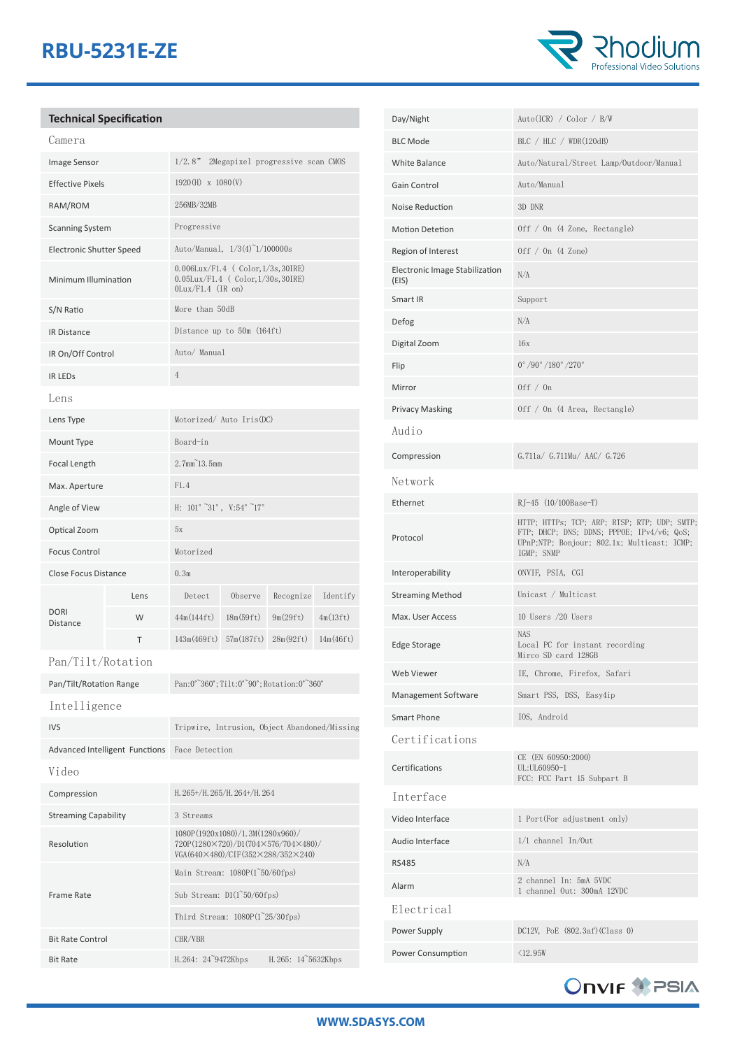## **RBU-5231E-ZE**



|                                 | <b>Technical Specification</b> |                                                                                                              |                                                                                         |           |           |
|---------------------------------|--------------------------------|--------------------------------------------------------------------------------------------------------------|-----------------------------------------------------------------------------------------|-----------|-----------|
| Camera                          |                                |                                                                                                              |                                                                                         |           |           |
| Image Sensor                    |                                | 1/2.8"                                                                                                       | 2Megapixel progressive scan CMOS                                                        |           |           |
| <b>Effective Pixels</b>         |                                | 1920(H) x 1080(V)                                                                                            |                                                                                         |           |           |
| RAM/ROM                         |                                | 256MB/32MB                                                                                                   |                                                                                         |           |           |
| <b>Scanning System</b>          |                                | Progressive                                                                                                  |                                                                                         |           |           |
| <b>Electronic Shutter Speed</b> |                                | Auto/Manual, 1/3(4)~1/100000s                                                                                |                                                                                         |           |           |
| Minimum Illumination            |                                | $OLux/F1.4$ (IR on)                                                                                          | $0.006$ Lux/F1.4 (Color, $1/3s$ , 30IRE)<br>$0.05$ Lux/F1.4 (Color, $1/30$ s, $30$ IRE) |           |           |
| S/N Ratio                       |                                | More than 50dB                                                                                               |                                                                                         |           |           |
| <b>IR Distance</b>              |                                | Distance up to 50m (164ft)                                                                                   |                                                                                         |           |           |
| IR On/Off Control               |                                | Auto/ Manual                                                                                                 |                                                                                         |           |           |
| <b>IR LEDS</b>                  |                                | $\overline{4}$                                                                                               |                                                                                         |           |           |
| Lens                            |                                |                                                                                                              |                                                                                         |           |           |
| Lens Type                       |                                | Motorized/ Auto Iris(DC)                                                                                     |                                                                                         |           |           |
| Mount Type                      |                                | Board-in                                                                                                     |                                                                                         |           |           |
| Focal Length                    |                                | $2.7$ mm $^{\sim}$ 13.5mm                                                                                    |                                                                                         |           |           |
| Max. Aperture                   |                                | F1.4                                                                                                         |                                                                                         |           |           |
| Angle of View                   |                                | H: $101^\circ$ $\degree 31^\circ$ , $V:54^\circ$ $\degree 17^\circ$                                          |                                                                                         |           |           |
| Optical Zoom                    |                                | 5x                                                                                                           |                                                                                         |           |           |
| <b>Focus Control</b>            |                                | Motorized                                                                                                    |                                                                                         |           |           |
| <b>Close Focus Distance</b>     |                                | 0.3 <sub>m</sub>                                                                                             |                                                                                         |           |           |
|                                 | Lens                           | Detect                                                                                                       | Observe                                                                                 | Recognize | Identify  |
| <b>DORI</b><br><b>Distance</b>  | W                              | 44m(144fft)                                                                                                  | 18m(59ft)                                                                               | 9m(29ft)  | 4m(13ft)  |
|                                 | Τ                              | 143m(469ft)                                                                                                  | 57m(187f t)                                                                             | 28m(92ft) | 14m(46ft) |
| Pan/Tilt/Rotation               |                                |                                                                                                              |                                                                                         |           |           |
| Pan/Tilt/Rotation Range         |                                |                                                                                                              | Pan:0 <sup>°</sup> 360°; Tilt:0° <sup>2</sup> 90°; Rotation:0° <sup>2</sup> 360°        |           |           |
| Intelligence                    |                                |                                                                                                              |                                                                                         |           |           |
| <b>IVS</b>                      |                                | Tripwire, Intrusion, Object Abandoned/Missing                                                                |                                                                                         |           |           |
| Advanced Intelligent Functions  |                                | Face Detection                                                                                               |                                                                                         |           |           |
| Video                           |                                |                                                                                                              |                                                                                         |           |           |
| Compression                     |                                | H. 265+/H. 265/H. 264+/H. 264                                                                                |                                                                                         |           |           |
| <b>Streaming Capability</b>     |                                | 3 Streams                                                                                                    |                                                                                         |           |           |
| Resolution                      |                                | 1080P(1920x1080)/1.3M(1280x960)/<br>720P(1280×720)/D1(704×576/704×480)/<br>VGA(640×480)/CIF(352×288/352×240) |                                                                                         |           |           |
|                                 |                                | Main Stream: 1080P(1~50/60fps)                                                                               |                                                                                         |           |           |
| Frame Rate                      |                                | Sub Stream: $DI(1^50/60fps)$                                                                                 |                                                                                         |           |           |

Third Stream: 1080P(1~25/30fps)

Bit Rate H.264: 24~9472Kbps H.265: 14~5632Kbps

Bit Rate Control CBR/VBR

| Day/Night                               | Auto(ICR) / Color / B/W                                                                                                                                 |  |  |  |
|-----------------------------------------|---------------------------------------------------------------------------------------------------------------------------------------------------------|--|--|--|
| <b>BLC Mode</b>                         | BLC / HLC / WDR(120dB)                                                                                                                                  |  |  |  |
| <b>White Balance</b>                    | Auto/Natural/Street Lamp/Outdoor/Manual                                                                                                                 |  |  |  |
| Gain Control                            | Auto/Manual                                                                                                                                             |  |  |  |
| Noise Reduction                         | 3D DNR                                                                                                                                                  |  |  |  |
| <b>Motion Detetion</b>                  | Off / On (4 Zone, Rectangle)                                                                                                                            |  |  |  |
| Region of Interest                      | Off / On (4 Zone)                                                                                                                                       |  |  |  |
| Electronic Image Stabilization<br>(EIS) | N/A                                                                                                                                                     |  |  |  |
| Smart IR                                | Support                                                                                                                                                 |  |  |  |
| Defog                                   | N/A                                                                                                                                                     |  |  |  |
| Digital Zoom                            | 16x                                                                                                                                                     |  |  |  |
| Flip                                    | 0°/90°/180°/270°                                                                                                                                        |  |  |  |
| Mirror                                  | Off $/$ On                                                                                                                                              |  |  |  |
| <b>Privacy Masking</b>                  | Off / On (4 Area, Rectangle)                                                                                                                            |  |  |  |
| Audio                                   |                                                                                                                                                         |  |  |  |
| Compression                             | G.711a/ G.711Mu/ AAC/ G.726                                                                                                                             |  |  |  |
| Network                                 |                                                                                                                                                         |  |  |  |
| Ethernet                                | RJ-45 (10/100Base-T)                                                                                                                                    |  |  |  |
| Protocol                                | HTTP; HTTPs; TCP; ARP; RTSP; RTP; UDP; SMTP;<br>FTP; DHCP; DNS; DDNS; PPPOE; IPv4/v6; QoS;<br>UPnP;NTP; Bonjour; 802.1x; Multicast; ICMP;<br>IGMP; SNMP |  |  |  |
| Interoperability                        | ONVIF, PSIA, CGI                                                                                                                                        |  |  |  |
| <b>Streaming Method</b>                 | Unicast / Multicast                                                                                                                                     |  |  |  |
| Max. User Access                        | 10 Users /20 Users                                                                                                                                      |  |  |  |
| Edge Storage                            | <b>NAS</b><br>Local PC for instant recording<br>Mirco SD card 128GB                                                                                     |  |  |  |
| Web Viewer                              | IE, Chrome, Firefox, Safari                                                                                                                             |  |  |  |
| Management Software                     | Smart PSS, DSS, Easy4ip                                                                                                                                 |  |  |  |
| Smart Phone                             | IOS, Android                                                                                                                                            |  |  |  |
| Certifications                          |                                                                                                                                                         |  |  |  |
| Certifications                          | CE (EN 60950:2000)<br>UL:UL60950-1<br>FCC: FCC Part 15 Subpart B                                                                                        |  |  |  |
| Interface                               |                                                                                                                                                         |  |  |  |
| Video Interface                         | 1 Port(For adjustment only)                                                                                                                             |  |  |  |
| Audio Interface                         | $1/1$ channel $In/0ut$                                                                                                                                  |  |  |  |
| <b>RS485</b>                            | N/A                                                                                                                                                     |  |  |  |
| Alarm                                   | 2 channel In: 5mA 5VDC<br>1 channel Out: 300mA 12VDC                                                                                                    |  |  |  |
| Electrical                              |                                                                                                                                                         |  |  |  |
| Power Supply                            | DC12V, PoE (802.3af) (Class 0)                                                                                                                          |  |  |  |
| Power Consumption                       | $\triangle 12.95W$                                                                                                                                      |  |  |  |
|                                         |                                                                                                                                                         |  |  |  |